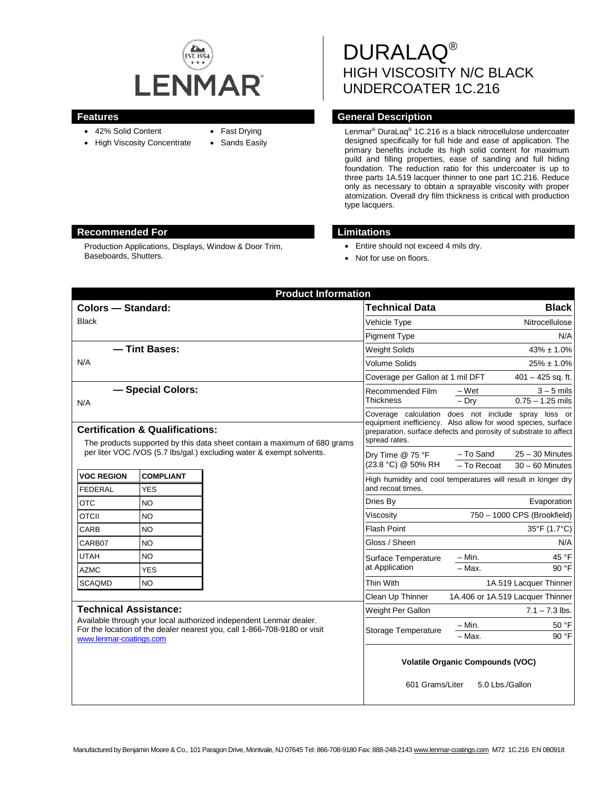

- 42% Solid Content
- High Viscosity Concentrate
- Fast Drying
- Sands Easily

DURALAQ® HIGH VISCOSITY N/C BLACK UNDERCOATER 1C.216

# **Features Features General Description**

Lenmar® DuraLaq® 1C.216 is a black nitrocellulose undercoater designed specifically for full hide and ease of application. The primary benefits include its high solid content for maximum guild and filling properties, ease of sanding and full hiding foundation. The reduction ratio for this undercoater is up to three parts 1A.519 lacquer thinner to one part 1C.216. Reduce only as necessary to obtain a sprayable viscosity with proper atomization. Overall dry film thickness is critical with production type lacquers.

## **Recommended For Limitations**

Production Applications, Displays, Window & Door Trim, Baseboards, Shutters.

- Entire should not exceed 4 mils dry.
- Not for use on floors.

|                                                                                                                                                                                                           |                                | <b>Product Information</b> |                                                                                                                                                                                                          |                                         |                                        |
|-----------------------------------------------------------------------------------------------------------------------------------------------------------------------------------------------------------|--------------------------------|----------------------------|----------------------------------------------------------------------------------------------------------------------------------------------------------------------------------------------------------|-----------------------------------------|----------------------------------------|
| <b>Colors - Standard:</b>                                                                                                                                                                                 |                                |                            | <b>Technical Data</b>                                                                                                                                                                                    |                                         | <b>Black</b>                           |
| <b>Black</b>                                                                                                                                                                                              |                                |                            | Vehicle Type                                                                                                                                                                                             | Nitrocellulose                          |                                        |
|                                                                                                                                                                                                           |                                |                            | <b>Pigment Type</b>                                                                                                                                                                                      |                                         | N/A                                    |
| - Tint Bases:<br>N/A                                                                                                                                                                                      |                                |                            | <b>Weight Solids</b>                                                                                                                                                                                     | $43\% \pm 1.0\%$                        |                                        |
|                                                                                                                                                                                                           |                                |                            | <b>Volume Solids</b>                                                                                                                                                                                     | $25\% \pm 1.0\%$                        |                                        |
|                                                                                                                                                                                                           |                                |                            | Coverage per Gallon at 1 mil DFT                                                                                                                                                                         | $401 - 425$ sq. ft.                     |                                        |
| - Special Colors:<br>N/A                                                                                                                                                                                  |                                |                            | Recommended Film<br>Thickness                                                                                                                                                                            | $-Wet$<br>$-$ Dry                       | $3 - 5$ mils<br>$0.75 - 1.25$ mils     |
| <b>Certification &amp; Qualifications:</b><br>The products supported by this data sheet contain a maximum of 680 grams                                                                                    |                                |                            | Coverage calculation does not include spray loss or<br>equipment inefficiency. Also allow for wood species, surface<br>preparation, surface defects and porosity of substrate to affect<br>spread rates. |                                         |                                        |
| per liter VOC /VOS (5.7 lbs/gal.) excluding water & exempt solvents.                                                                                                                                      |                                |                            | Dry Time @ 75 °F<br>(23.8 °C) @ 50% RH                                                                                                                                                                   | - To Sand<br>$-$ To Recoat              | $25 - 30$ Minutes<br>$30 - 60$ Minutes |
| <b>VOC REGION</b><br><b>FEDERAL</b>                                                                                                                                                                       | <b>COMPLIANT</b><br><b>YES</b> |                            | High humidity and cool temperatures will result in longer dry<br>and recoat times.                                                                                                                       |                                         |                                        |
| <b>OTC</b>                                                                                                                                                                                                | <b>NO</b>                      |                            | Dries By                                                                                                                                                                                                 |                                         | Evaporation                            |
| <b>OTCII</b>                                                                                                                                                                                              | <b>NO</b>                      |                            | Viscosity                                                                                                                                                                                                | 750 - 1000 CPS (Brookfield)             |                                        |
| CARB                                                                                                                                                                                                      | <b>NO</b>                      |                            | <b>Flash Point</b>                                                                                                                                                                                       |                                         | 35°F (1.7°C)                           |
| CARB07                                                                                                                                                                                                    | <b>NO</b>                      |                            | Gloss / Sheen                                                                                                                                                                                            |                                         | N/A                                    |
| <b>UTAH</b>                                                                                                                                                                                               | <b>NO</b>                      |                            | Surface Temperature<br>at Application                                                                                                                                                                    | $-$ Min.                                | 45 °F                                  |
| <b>AZMC</b>                                                                                                                                                                                               | <b>YES</b>                     |                            |                                                                                                                                                                                                          | $-$ Max.                                | $90°$ F                                |
| <b>SCAQMD</b>                                                                                                                                                                                             | <b>NO</b>                      |                            | Thin With                                                                                                                                                                                                | 1A.519 Lacquer Thinner                  |                                        |
|                                                                                                                                                                                                           |                                |                            | Clean Up Thinner                                                                                                                                                                                         | 1A.406 or 1A.519 Lacquer Thinner        |                                        |
| <b>Technical Assistance:</b><br>Available through your local authorized independent Lenmar dealer.<br>For the location of the dealer nearest you, call 1-866-708-9180 or visit<br>www.lenmar-coatings.com |                                |                            | Weight Per Gallon                                                                                                                                                                                        |                                         | $7.1 - 7.3$ lbs.                       |
|                                                                                                                                                                                                           |                                |                            | <b>Storage Temperature</b>                                                                                                                                                                               | $- Min.$                                | 50 °F                                  |
|                                                                                                                                                                                                           |                                |                            |                                                                                                                                                                                                          | $-$ Max.                                | 90 °F                                  |
|                                                                                                                                                                                                           |                                |                            | 601 Grams/Liter                                                                                                                                                                                          | <b>Volatile Organic Compounds (VOC)</b> | 5.0 Lbs./Gallon                        |